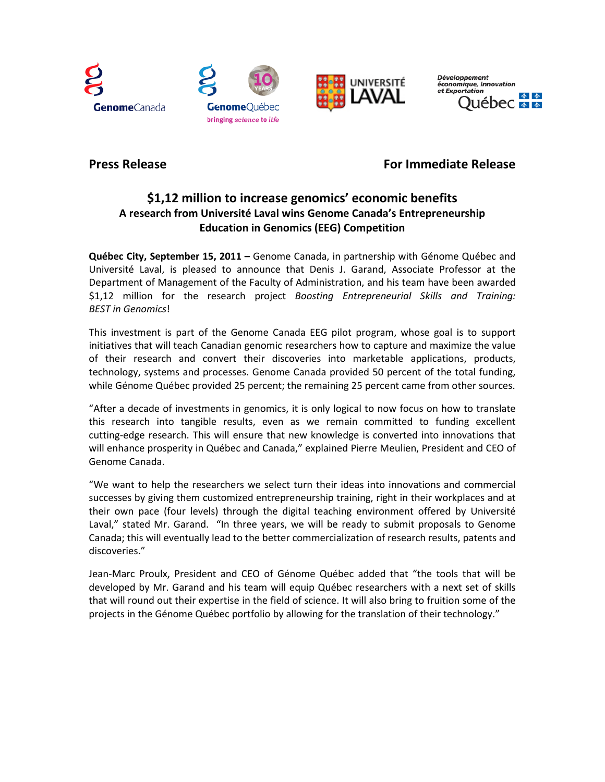





**Développement<br>économique, Innovation** et Exportation **小 小** uébec <del>⊠ ⊠</del>

# **Press Release For Immediate Release**

## **\$1,12 million to increase genomics' economic benefits A research from Université Laval wins Genome Canada's Entrepreneurship Education in Genomics (EEG) Competition**

**Québec City, September 15, 2011 –** Genome Canada, in partnership with Génome Québec and Université Laval, is pleased to announce that Denis J. Garand, Associate Professor at the Department of Management of the Faculty of Administration, and his team have been awarded \$1,12 million for the research project *Boosting Entrepreneurial Skills and Training: BEST in Genomics*!

This investment is part of the Genome Canada EEG pilot program, whose goal is to support initiatives that will teach Canadian genomic researchers how to capture and maximize the value of their research and convert their discoveries into marketable applications, products, technology, systems and processes. Genome Canada provided 50 percent of the total funding, while Génome Québec provided 25 percent; the remaining 25 percent came from other sources.

"After a decade of investments in genomics, it is only logical to now focus on how to translate this research into tangible results, even as we remain committed to funding excellent cutting-edge research. This will ensure that new knowledge is converted into innovations that will enhance prosperity in Québec and Canada," explained Pierre Meulien, President and CEO of Genome Canada.

"We want to help the researchers we select turn their ideas into innovations and commercial successes by giving them customized entrepreneurship training, right in their workplaces and at their own pace (four levels) through the digital teaching environment offered by Université Laval," stated Mr. Garand. "In three years, we will be ready to submit proposals to Genome Canada; this will eventually lead to the better commercialization of research results, patents and discoveries."

Jean-Marc Proulx, President and CEO of Génome Québec added that "the tools that will be developed by Mr. Garand and his team will equip Québec researchers with a next set of skills that will round out their expertise in the field of science. It will also bring to fruition some of the projects in the Génome Québec portfolio by allowing for the translation of their technology."